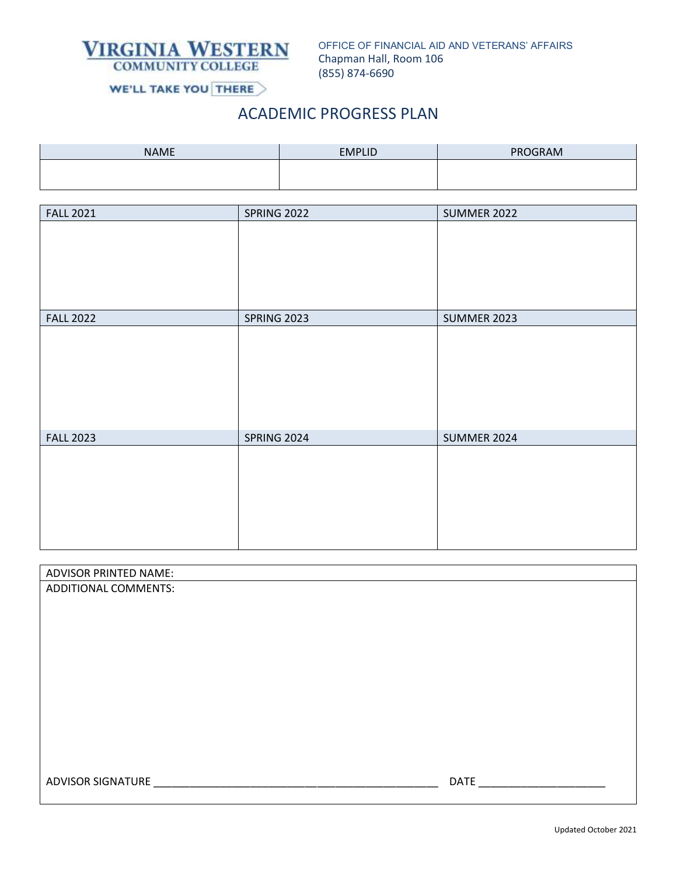

OFFICE OF FINANCIAL AID AND VETERANS' AFFAIRS Chapman Hall, Room 106 (855) 874-6690

WE'LL TAKE YOU THERE

# ACADEMIC PROGRESS PLAN

| <b>NAME</b> | <b>EMPLID</b> | PROGRAM |
|-------------|---------------|---------|
|             |               |         |
|             |               |         |

| <b>FALL 2021</b> | <b>SPRING 2022</b> | <b>SUMMER 2022</b> |
|------------------|--------------------|--------------------|
|                  |                    |                    |
|                  |                    |                    |
|                  |                    |                    |
|                  |                    |                    |
| <b>FALL 2022</b> | <b>SPRING 2023</b> | <b>SUMMER 2023</b> |
|                  |                    |                    |
|                  |                    |                    |
|                  |                    |                    |
|                  |                    |                    |
|                  |                    |                    |
| <b>FALL 2023</b> | <b>SPRING 2024</b> | <b>SUMMER 2024</b> |
|                  |                    |                    |
|                  |                    |                    |
|                  |                    |                    |
|                  |                    |                    |
|                  |                    |                    |

| <b>ADVISOR PRINTED NAME:</b> |             |
|------------------------------|-------------|
| ADDITIONAL COMMENTS:         |             |
|                              |             |
|                              |             |
|                              |             |
|                              |             |
|                              |             |
|                              |             |
|                              |             |
|                              |             |
|                              |             |
|                              |             |
| <b>ADVISOR SIGNATURE</b>     | <b>DATE</b> |